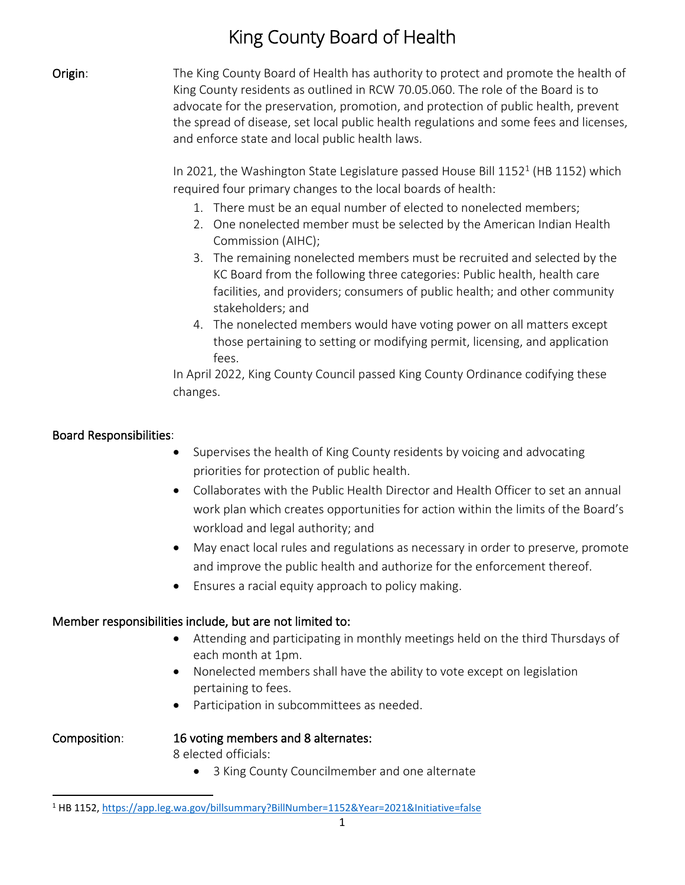# King County Board of Health

**Origin:** The King County Board of Health has authority to protect and promote the health of King County residents as outlined in RCW 70.05.060. The role of the Board is to advocate for the preservation, promotion, and protection of public health, prevent the spread of disease, set local public health regulations and some fees and licenses, and enforce state and local public health laws.

> In 2021, the Washington State Legislature passed House Bill  $1152<sup>1</sup>$  (HB 1152) which required four primary changes to the local boards of health:

- 1. There must be an equal number of elected to nonelected members;
- 2. One nonelected member must be selected by the American Indian Health Commission (AIHC);
- 3. The remaining nonelected members must be recruited and selected by the KC Board from the following three categories: Public health, health care facilities, and providers; consumers of public health; and other community stakeholders; and
- 4. The nonelected members would have voting power on all matters except those pertaining to setting or modifying permit, licensing, and application fees.

In April 2022, King County Council passed King County Ordinance codifying these changes.

# Board Responsibilities:

- Supervises the health of King County residents by voicing and advocating priorities for protection of public health.
- Collaborates with the Public Health Director and Health Officer to set an annual work plan which creates opportunities for action within the limits of the Board's workload and legal authority; and
- May enact local rules and regulations as necessary in order to preserve, promote and improve the public health and authorize for the enforcement thereof.
- Ensures a racial equity approach to policy making.

# Member responsibilities include, but are not limited to:

- Attending and participating in monthly meetings held on the third Thursdays of each month at 1pm.
- Nonelected members shall have the ability to vote except on legislation pertaining to fees.
- Participation in subcommittees as needed.

## Composition: 16 voting members and 8 alternates:

8 elected officials:

• 3 King County Councilmember and one alternate

<sup>1</sup> HB 1152[, https://app.leg.wa.gov/billsummary?BillNumber=1152&Year=2021&Initiative=false](https://app.leg.wa.gov/billsummary?BillNumber=1152&Year=2021&Initiative=false)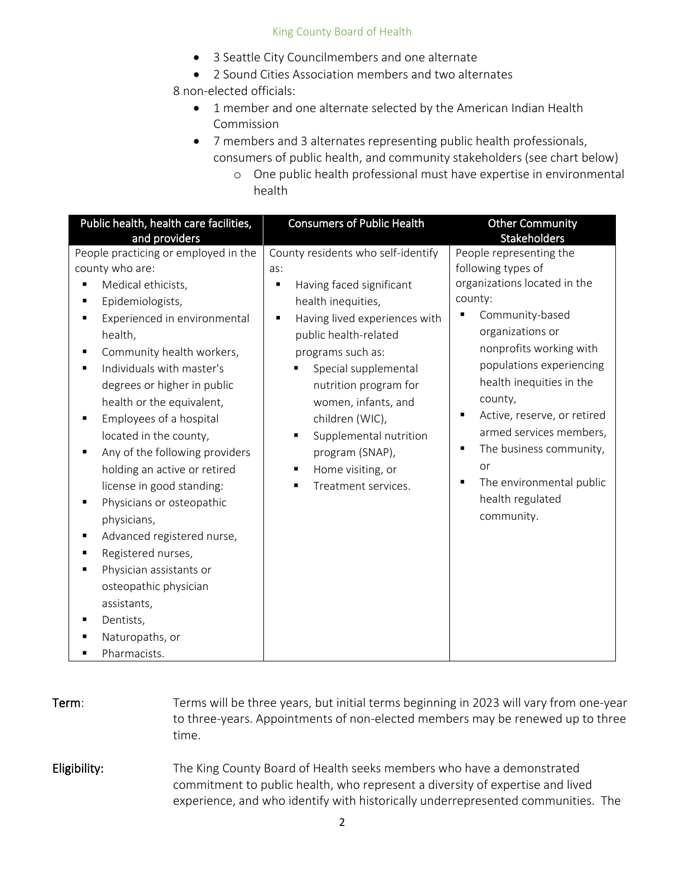### King County Board of Health

- 3 Seattle City Councilmembers and one alternate
- 2 Sound Cities Association members and two alternates

8 non-elected officials:

- 1 member and one alternate selected by the American Indian Health Commission
- 7 members and 3 alternates representing public health professionals, consumers of public health, and community stakeholders (see chart below)
	- o One public health professional must have expertise in environmental health

| People practicing or employed in the<br>County residents who self-identify<br>People representing the<br>county who are:<br>following types of<br>as:<br>organizations located in the<br>Medical ethicists,<br>Having faced significant<br>Е<br>county:<br>Epidemiologists,<br>health inequities,<br>п<br>Community-based<br>Experienced in environmental<br>Having lived experiences with<br>٠<br>п<br>organizations or<br>public health-related<br>health,<br>nonprofits working with<br>Community health workers,<br>programs such as:<br>Individuals with master's<br>Special supplemental<br>health inequities in the<br>degrees or higher in public<br>nutrition program for<br>county,<br>health or the equivalent,<br>women, infants, and<br>Employees of a hospital<br>children (WIC),<br>٠<br>located in the county,<br>Supplemental nutrition<br>Any of the following providers<br>program (SNAP),<br>or<br>holding an active or retired<br>Home visiting, or<br>٠<br>license in good standing:<br>Treatment services.<br>health regulated<br>Physicians or osteopathic<br>community.<br>physicians,<br>Advanced registered nurse,<br>٠<br>Registered nurses,<br>٠<br>Physician assistants or<br>٠<br>osteopathic physician | Public health, health care facilities,<br>and providers | <b>Consumers of Public Health</b> | <b>Other Community</b><br><b>Stakeholders</b>                                                                                             |
|----------------------------------------------------------------------------------------------------------------------------------------------------------------------------------------------------------------------------------------------------------------------------------------------------------------------------------------------------------------------------------------------------------------------------------------------------------------------------------------------------------------------------------------------------------------------------------------------------------------------------------------------------------------------------------------------------------------------------------------------------------------------------------------------------------------------------------------------------------------------------------------------------------------------------------------------------------------------------------------------------------------------------------------------------------------------------------------------------------------------------------------------------------------------------------------------------------------------------------------|---------------------------------------------------------|-----------------------------------|-------------------------------------------------------------------------------------------------------------------------------------------|
| assistants,<br>Dentists,<br>Naturopaths, or<br>Pharmacists.                                                                                                                                                                                                                                                                                                                                                                                                                                                                                                                                                                                                                                                                                                                                                                                                                                                                                                                                                                                                                                                                                                                                                                            |                                                         |                                   | populations experiencing<br>Active, reserve, or retired<br>armed services members,<br>The business community,<br>The environmental public |

| Term:        | Terms will be three years, but initial terms beginning in 2023 will vary from one-year<br>to three-years. Appointments of non-elected members may be renewed up to three<br>time.                                                          |
|--------------|--------------------------------------------------------------------------------------------------------------------------------------------------------------------------------------------------------------------------------------------|
| Eligibility: | The King County Board of Health seeks members who have a demonstrated<br>commitment to public health, who represent a diversity of expertise and lived<br>experience, and who identify with historically underrepresented communities. The |